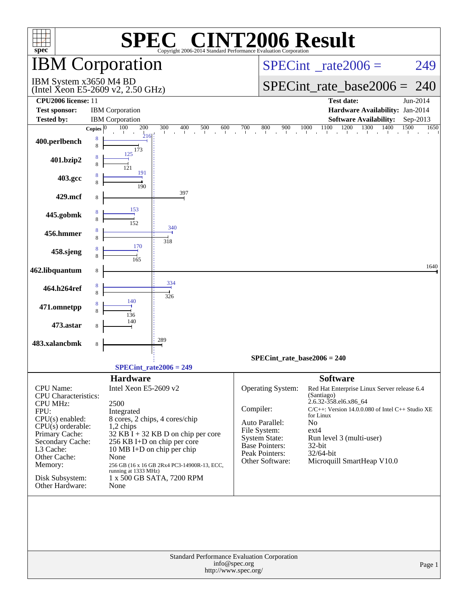| $spec^*$                                                    |                    |                                                  | <b>CINT2006 Result</b><br>Copyright 2006-2014 Standard Performance Evaluation Corporation |                                       |                                      |                                                                                                       |        |
|-------------------------------------------------------------|--------------------|--------------------------------------------------|-------------------------------------------------------------------------------------------|---------------------------------------|--------------------------------------|-------------------------------------------------------------------------------------------------------|--------|
| <b>IBM</b> Corporation                                      |                    |                                                  |                                                                                           |                                       |                                      | $SPECint^{\circ}$ rate $2006 =$                                                                       | 249    |
| IBM System x3650 M4 BD<br>(Intel Xeon E5-2609 v2, 2.50 GHz) |                    |                                                  |                                                                                           |                                       |                                      | $SPECint_rate\_base2006 =$<br>240                                                                     |        |
| CPU2006 license: 11                                         |                    |                                                  |                                                                                           |                                       |                                      | <b>Test date:</b><br>Jun-2014                                                                         |        |
| <b>Test sponsor:</b><br><b>Tested by:</b>                   |                    | <b>IBM</b> Corporation<br><b>IBM</b> Corporation |                                                                                           |                                       |                                      | Hardware Availability: Jan-2014<br><b>Software Availability:</b>                                      |        |
|                                                             | Copies $ 0\rangle$ | 200<br>100                                       | 300<br>400<br>500<br>600                                                                  | 700                                   | 800<br>900                           | Sep-2013<br>1100<br>1200<br>1300<br>1400<br>1500<br>1000                                              | 1650   |
| 400.perlbench                                               | 8<br>8             | 216<br>173                                       |                                                                                           |                                       |                                      |                                                                                                       |        |
| 401.bzip2                                                   | 8<br>8             | 125<br>121                                       |                                                                                           |                                       |                                      |                                                                                                       |        |
| 403.gcc                                                     | 8<br>8             | 191<br>190                                       |                                                                                           |                                       |                                      |                                                                                                       |        |
| 429.mcf                                                     | 8                  |                                                  | 397                                                                                       |                                       |                                      |                                                                                                       |        |
| 445.gobmk                                                   | 8                  | 153<br>152                                       |                                                                                           |                                       |                                      |                                                                                                       |        |
| 456.hmmer                                                   | 8<br>8             |                                                  | 340<br>318                                                                                |                                       |                                      |                                                                                                       |        |
| 458.sjeng                                                   | 8<br>8             | 170<br>165                                       |                                                                                           |                                       |                                      |                                                                                                       |        |
| 462.libquantum                                              | 8                  |                                                  |                                                                                           |                                       |                                      |                                                                                                       | 1640   |
| 464.h264ref                                                 | 8<br>8             |                                                  | 334<br>326                                                                                |                                       |                                      |                                                                                                       |        |
| 471.omnetpp                                                 | 8                  | 140<br>136                                       |                                                                                           |                                       |                                      |                                                                                                       |        |
| 473.astar                                                   | 8                  | 140                                              |                                                                                           |                                       |                                      |                                                                                                       |        |
| 483.xalancbmk                                               | 8                  |                                                  | 289                                                                                       |                                       |                                      |                                                                                                       |        |
|                                                             |                    |                                                  |                                                                                           |                                       | $SPECint_rate_base2006 = 240$        |                                                                                                       |        |
|                                                             |                    |                                                  | $SPECint rate2006 = 249$                                                                  |                                       |                                      |                                                                                                       |        |
| CPU Name:<br><b>CPU</b> Characteristics:                    |                    | <b>Hardware</b><br>Intel Xeon E5-2609 v2         |                                                                                           |                                       | Operating System:                    | <b>Software</b><br>Red Hat Enterprise Linux Server release 6.4<br>(Santiago)<br>2.6.32-358.el6.x86_64 |        |
| <b>CPU MHz:</b><br>FPU:                                     |                    | 2500<br>Integrated                               |                                                                                           | Compiler:                             |                                      | $C/C++$ : Version 14.0.0.080 of Intel $C++$ Studio XE<br>for Linux                                    |        |
| $CPU(s)$ enabled:<br>$CPU(s)$ orderable:                    |                    | 1,2 chips                                        | 8 cores, 2 chips, 4 cores/chip                                                            |                                       | Auto Parallel:                       | N <sub>o</sub>                                                                                        |        |
| Primary Cache:                                              |                    |                                                  | $32$ KB I + 32 KB D on chip per core                                                      |                                       | File System:<br><b>System State:</b> | $ext{4}$<br>Run level 3 (multi-user)                                                                  |        |
| Secondary Cache:<br>L3 Cache:                               |                    |                                                  | 256 KB I+D on chip per core<br>10 MB I+D on chip per chip                                 |                                       | Base Pointers:                       | 32-bit                                                                                                |        |
| Other Cache:                                                |                    | None                                             |                                                                                           |                                       | Peak Pointers:<br>Other Software:    | 32/64-bit<br>Microquill SmartHeap V10.0                                                               |        |
| Memory:                                                     |                    | running at 1333 MHz)                             | 256 GB (16 x 16 GB 2Rx4 PC3-14900R-13, ECC,                                               |                                       |                                      |                                                                                                       |        |
| Disk Subsystem:<br>Other Hardware:                          |                    | None                                             | 1 x 500 GB SATA, 7200 RPM                                                                 |                                       |                                      |                                                                                                       |        |
|                                                             |                    |                                                  | Standard Performance Evaluation Corporation                                               |                                       |                                      |                                                                                                       |        |
|                                                             |                    |                                                  |                                                                                           | info@spec.org<br>http://www.spec.org/ |                                      |                                                                                                       | Page 1 |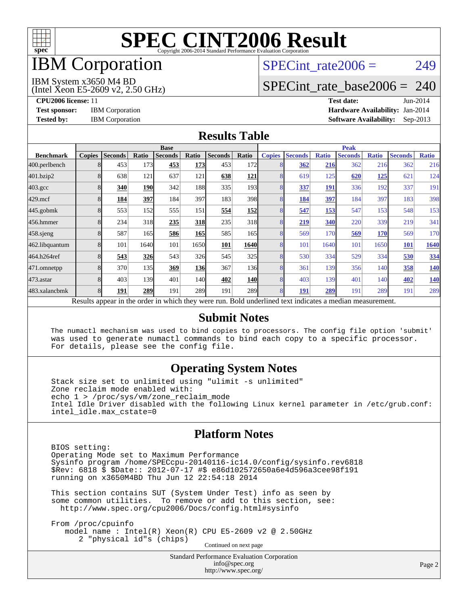

## IBM Corporation

## SPECint rate $2006 = 249$

[SPECint\\_rate\\_base2006 =](http://www.spec.org/auto/cpu2006/Docs/result-fields.html#SPECintratebase2006) 240

#### IBM System x3650 M4 BD

(Intel Xeon E5-2609 v2, 2.50 GHz)

**[CPU2006 license:](http://www.spec.org/auto/cpu2006/Docs/result-fields.html#CPU2006license)** 11 **[Test date:](http://www.spec.org/auto/cpu2006/Docs/result-fields.html#Testdate)** Jun-2014 **[Test sponsor:](http://www.spec.org/auto/cpu2006/Docs/result-fields.html#Testsponsor)** IBM Corporation **[Hardware Availability:](http://www.spec.org/auto/cpu2006/Docs/result-fields.html#HardwareAvailability)** Jan-2014 **[Tested by:](http://www.spec.org/auto/cpu2006/Docs/result-fields.html#Testedby)** IBM Corporation **[Software Availability:](http://www.spec.org/auto/cpu2006/Docs/result-fields.html#SoftwareAvailability)** Sep-2013

#### **[Results Table](http://www.spec.org/auto/cpu2006/Docs/result-fields.html#ResultsTable)**

|                    | <b>Base</b>   |                |            |                |            |                | <b>Peak</b>      |                |                |              |                                                                                                          |              |                |              |
|--------------------|---------------|----------------|------------|----------------|------------|----------------|------------------|----------------|----------------|--------------|----------------------------------------------------------------------------------------------------------|--------------|----------------|--------------|
| <b>Benchmark</b>   | <b>Copies</b> | <b>Seconds</b> | Ratio      | <b>Seconds</b> | Ratio      | <b>Seconds</b> | Ratio            | <b>Copies</b>  | <b>Seconds</b> | <b>Ratio</b> | <b>Seconds</b>                                                                                           | <b>Ratio</b> | <b>Seconds</b> | <b>Ratio</b> |
| 400.perlbench      | 8             | 453            | 173        | 453            | 173        | 453            | 172              | 8              | 362            | 216          | 362                                                                                                      | 216          | 362            | 216          |
| 401.bzip2          | 8             | 638            | 121        | 637            | 121        | 638            | <u>121</u>       | 8              | 619            | 125          | 620                                                                                                      | <u>125</u>   | 621            | 124          |
| $403.\mathrm{gcc}$ | 8             | 340            | <b>190</b> | 342            | 188        | 335            | 193 <sup>1</sup> | 8              | 337            | 191          | 336                                                                                                      | 192          | 337            | 191          |
| $429$ .mcf         | 8             | 184            | 397        | 184            | 397        | 183            | 398              | 8              | 184            | 397          | 184                                                                                                      | 397          | 183            | 398          |
| $445$ .gobm $k$    | 8             | 553            | 152        | 555            | 151        | 554            | <u>152</u>       | 8              | 547            | 153          | 547                                                                                                      | 153          | 548            | 153          |
| 456.hmmer          |               | 234            | 318        | 235            | <b>318</b> | 235            | 318              | 8              | 219            | 340          | 220                                                                                                      | 339          | 219            | 341          |
| $458$ .sjeng       | 8             | 587            | 165        | 586            | <b>165</b> | 585            | 165              | 8              | 569            | 170          | 569                                                                                                      | 170          | 569            | 170          |
| 462.libquantum     | 8             | 101            | 1640       | 101            | 1650       | <u>101</u>     | 1640             | 8              | 101            | 1640         | 101                                                                                                      | 1650         | <b>101</b>     | 1640         |
| 464.h264ref        | 8             | 543            | 326        | 543            | <b>326</b> | 545            | 325              | 8              | 530            | 334          | 529                                                                                                      | 334          | 530            | 334          |
| 471.omnetpp        | 8             | 370            | 135        | 369            | <b>136</b> | 367            | 136              | 8              | 361            | 139          | 356                                                                                                      | 140          | 358            | <u>140</u>   |
| 473.astar          | 8             | 403            | 139        | 401            | 140        | 402            | <b>140</b>       | 8              | 403            | 139          | 401                                                                                                      | 140          | 402            | <u>140</u>   |
| 483.xalancbmk      | $\mathbf{8}$  | 191            | 289        | 191            | 289        | 191            | <b>289</b>       | $\overline{8}$ | 191            | 289          | 191                                                                                                      | 289          | 191            | 289          |
|                    |               |                |            |                |            |                |                  |                |                |              | Results appear in the order in which they were run. Bold underlined text indicates a median measurement. |              |                |              |

#### **[Submit Notes](http://www.spec.org/auto/cpu2006/Docs/result-fields.html#SubmitNotes)**

 The numactl mechanism was used to bind copies to processors. The config file option 'submit' was used to generate numactl commands to bind each copy to a specific processor. For details, please see the config file.

### **[Operating System Notes](http://www.spec.org/auto/cpu2006/Docs/result-fields.html#OperatingSystemNotes)**

 Stack size set to unlimited using "ulimit -s unlimited" Zone reclaim mode enabled with: echo 1 > /proc/sys/vm/zone\_reclaim\_mode Intel Idle Driver disabled with the following Linux kernel parameter in /etc/grub.conf: intel\_idle.max\_cstate=0

#### **[Platform Notes](http://www.spec.org/auto/cpu2006/Docs/result-fields.html#PlatformNotes)**

 BIOS setting: Operating Mode set to Maximum Performance Sysinfo program /home/SPECcpu-20140116-ic14.0/config/sysinfo.rev6818 \$Rev: 6818 \$ \$Date:: 2012-07-17 #\$ e86d102572650a6e4d596a3cee98f191 running on x3650M4BD Thu Jun 12 22:54:18 2014

 This section contains SUT (System Under Test) info as seen by some common utilities. To remove or add to this section, see: <http://www.spec.org/cpu2006/Docs/config.html#sysinfo>

 From /proc/cpuinfo model name : Intel(R) Xeon(R) CPU E5-2609 v2 @ 2.50GHz 2 "physical id"s (chips) Continued on next page

> Standard Performance Evaluation Corporation [info@spec.org](mailto:info@spec.org) <http://www.spec.org/>

Page 2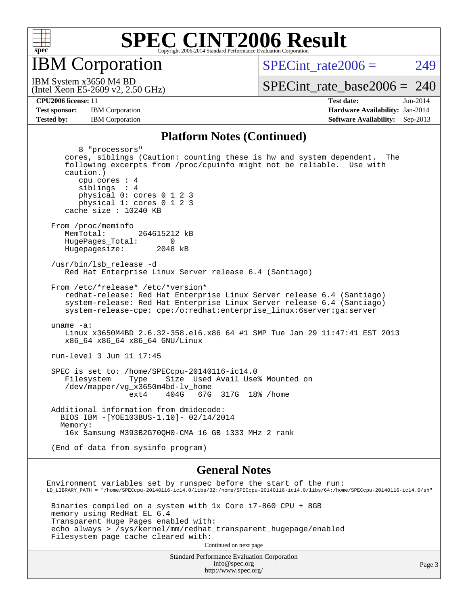

IBM Corporation

 $SPECTnt_rate2006 = 249$ 

(Intel Xeon E5-2609 v2, 2.50 GHz) IBM System x3650 M4 BD

[SPECint\\_rate\\_base2006 =](http://www.spec.org/auto/cpu2006/Docs/result-fields.html#SPECintratebase2006) 240

**[CPU2006 license:](http://www.spec.org/auto/cpu2006/Docs/result-fields.html#CPU2006license)** 11 **[Test date:](http://www.spec.org/auto/cpu2006/Docs/result-fields.html#Testdate)** Jun-2014 **[Test sponsor:](http://www.spec.org/auto/cpu2006/Docs/result-fields.html#Testsponsor)** IBM Corporation **[Hardware Availability:](http://www.spec.org/auto/cpu2006/Docs/result-fields.html#HardwareAvailability)** Jan-2014 **[Tested by:](http://www.spec.org/auto/cpu2006/Docs/result-fields.html#Testedby)** IBM Corporation **[Software Availability:](http://www.spec.org/auto/cpu2006/Docs/result-fields.html#SoftwareAvailability)** Sep-2013

#### **[Platform Notes \(Continued\)](http://www.spec.org/auto/cpu2006/Docs/result-fields.html#PlatformNotes)**

| 8 "processors"<br>cores, siblings (Caution: counting these is hw and system dependent. The<br>following excerpts from /proc/cpuinfo might not be reliable. Use with<br>caution.)<br>cpu cores : 4<br>siblings : 4<br>physical 0: cores 0 1 2 3<br>physical 1: cores 0 1 2 3<br>cache size : $10240$ KB                                                           |
|------------------------------------------------------------------------------------------------------------------------------------------------------------------------------------------------------------------------------------------------------------------------------------------------------------------------------------------------------------------|
| From /proc/meminfo<br>264615212 kB<br>MemTotal:<br>HugePages_Total:<br>0<br>Hugepagesize: 2048 kB                                                                                                                                                                                                                                                                |
| /usr/bin/lsb release -d<br>Red Hat Enterprise Linux Server release 6.4 (Santiago)                                                                                                                                                                                                                                                                                |
| From /etc/*release* /etc/*version*<br>redhat-release: Red Hat Enterprise Linux Server release 6.4 (Santiago)<br>system-release: Red Hat Enterprise Linux Server release 6.4 (Santiago)<br>system-release-cpe: cpe:/o:redhat:enterprise_linux:6server:ga:server                                                                                                   |
| uname $-a$ :<br>Linux x3650M4BD 2.6.32-358.el6.x86_64 #1 SMP Tue Jan 29 11:47:41 EST 2013<br>x86_64 x86_64 x86_64 GNU/Linux                                                                                                                                                                                                                                      |
| run-level 3 Jun 11 17:45                                                                                                                                                                                                                                                                                                                                         |
| SPEC is set to: /home/SPECcpu-20140116-ic14.0<br>Size Used Avail Use% Mounted on<br>Filesystem<br>Type<br>/dev/mapper/vg_x3650m4bd-lv_home<br>404G 67G 317G 18% / home<br>ext4                                                                                                                                                                                   |
| Additional information from dmidecode:<br>BIOS IBM -[YOE103BUS-1.10]- 02/14/2014<br>Memory:<br>16x Samsung M393B2G70QH0-CMA 16 GB 1333 MHz 2 rank                                                                                                                                                                                                                |
| (End of data from sysinfo program)                                                                                                                                                                                                                                                                                                                               |
| <b>General Notes</b>                                                                                                                                                                                                                                                                                                                                             |
| Environment variables set by runspec before the start of the run:<br>$\verb LD_LIBRARY_PATH = "/home/SPECcpu-20140116-ic14.0/libs/32://home/SPECpu-20140116-ic14.0/libs/64://home/SPECpu-20140116-ic14.0/sh=0.0140116-ic14.0/sh=0.0140116-ic14.0/sh=0.0140116-ic14.0/sh=0.0140116-ic14.0/sh=0.0140116-ic14.0/sh=0.0140116-ic14.0/sh=0.0140116-ic14.0/sh=0.01401$ |
| Binaries compiled on a system with 1x Core i7-860 CPU + 8GB                                                                                                                                                                                                                                                                                                      |

 memory using RedHat EL 6.4 Transparent Huge Pages enabled with: echo always > /sys/kernel/mm/redhat\_transparent\_hugepage/enabled Filesystem page cache cleared with:

Continued on next page

Standard Performance Evaluation Corporation [info@spec.org](mailto:info@spec.org) <http://www.spec.org/>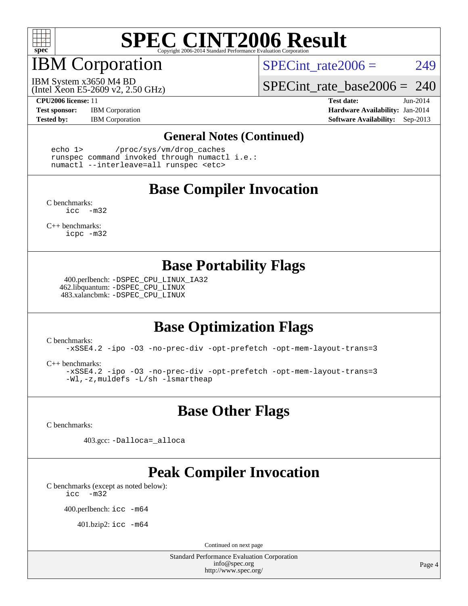

## IBM Corporation

SPECint rate $2006 = 249$ 

(Intel Xeon E5-2609 v2, 2.50 GHz) IBM System x3650 M4 BD

[SPECint\\_rate\\_base2006 =](http://www.spec.org/auto/cpu2006/Docs/result-fields.html#SPECintratebase2006) 240

**[Test sponsor:](http://www.spec.org/auto/cpu2006/Docs/result-fields.html#Testsponsor)** IBM Corporation **[Hardware Availability:](http://www.spec.org/auto/cpu2006/Docs/result-fields.html#HardwareAvailability)** Jan-2014

**[CPU2006 license:](http://www.spec.org/auto/cpu2006/Docs/result-fields.html#CPU2006license)** 11 **[Test date:](http://www.spec.org/auto/cpu2006/Docs/result-fields.html#Testdate)** Jun-2014 **[Tested by:](http://www.spec.org/auto/cpu2006/Docs/result-fields.html#Testedby)** IBM Corporation **[Software Availability:](http://www.spec.org/auto/cpu2006/Docs/result-fields.html#SoftwareAvailability)** Sep-2013

#### **[General Notes \(Continued\)](http://www.spec.org/auto/cpu2006/Docs/result-fields.html#GeneralNotes)**

 echo 1> /proc/sys/vm/drop\_caches runspec command invoked through numactl i.e.: numactl --interleave=all runspec <etc>

### **[Base Compiler Invocation](http://www.spec.org/auto/cpu2006/Docs/result-fields.html#BaseCompilerInvocation)**

[C benchmarks](http://www.spec.org/auto/cpu2006/Docs/result-fields.html#Cbenchmarks): [icc -m32](http://www.spec.org/cpu2006/results/res2014q3/cpu2006-20140617-29961.flags.html#user_CCbase_intel_icc_5ff4a39e364c98233615fdd38438c6f2)

[C++ benchmarks:](http://www.spec.org/auto/cpu2006/Docs/result-fields.html#CXXbenchmarks) [icpc -m32](http://www.spec.org/cpu2006/results/res2014q3/cpu2006-20140617-29961.flags.html#user_CXXbase_intel_icpc_4e5a5ef1a53fd332b3c49e69c3330699)

### **[Base Portability Flags](http://www.spec.org/auto/cpu2006/Docs/result-fields.html#BasePortabilityFlags)**

 400.perlbench: [-DSPEC\\_CPU\\_LINUX\\_IA32](http://www.spec.org/cpu2006/results/res2014q3/cpu2006-20140617-29961.flags.html#b400.perlbench_baseCPORTABILITY_DSPEC_CPU_LINUX_IA32) 462.libquantum: [-DSPEC\\_CPU\\_LINUX](http://www.spec.org/cpu2006/results/res2014q3/cpu2006-20140617-29961.flags.html#b462.libquantum_baseCPORTABILITY_DSPEC_CPU_LINUX) 483.xalancbmk: [-DSPEC\\_CPU\\_LINUX](http://www.spec.org/cpu2006/results/res2014q3/cpu2006-20140617-29961.flags.html#b483.xalancbmk_baseCXXPORTABILITY_DSPEC_CPU_LINUX)

## **[Base Optimization Flags](http://www.spec.org/auto/cpu2006/Docs/result-fields.html#BaseOptimizationFlags)**

[C benchmarks](http://www.spec.org/auto/cpu2006/Docs/result-fields.html#Cbenchmarks):

[-xSSE4.2](http://www.spec.org/cpu2006/results/res2014q3/cpu2006-20140617-29961.flags.html#user_CCbase_f-xSSE42_f91528193cf0b216347adb8b939d4107) [-ipo](http://www.spec.org/cpu2006/results/res2014q3/cpu2006-20140617-29961.flags.html#user_CCbase_f-ipo) [-O3](http://www.spec.org/cpu2006/results/res2014q3/cpu2006-20140617-29961.flags.html#user_CCbase_f-O3) [-no-prec-div](http://www.spec.org/cpu2006/results/res2014q3/cpu2006-20140617-29961.flags.html#user_CCbase_f-no-prec-div) [-opt-prefetch](http://www.spec.org/cpu2006/results/res2014q3/cpu2006-20140617-29961.flags.html#user_CCbase_f-opt-prefetch) [-opt-mem-layout-trans=3](http://www.spec.org/cpu2006/results/res2014q3/cpu2006-20140617-29961.flags.html#user_CCbase_f-opt-mem-layout-trans_a7b82ad4bd7abf52556d4961a2ae94d5)

[C++ benchmarks:](http://www.spec.org/auto/cpu2006/Docs/result-fields.html#CXXbenchmarks)

[-xSSE4.2](http://www.spec.org/cpu2006/results/res2014q3/cpu2006-20140617-29961.flags.html#user_CXXbase_f-xSSE42_f91528193cf0b216347adb8b939d4107) [-ipo](http://www.spec.org/cpu2006/results/res2014q3/cpu2006-20140617-29961.flags.html#user_CXXbase_f-ipo) [-O3](http://www.spec.org/cpu2006/results/res2014q3/cpu2006-20140617-29961.flags.html#user_CXXbase_f-O3) [-no-prec-div](http://www.spec.org/cpu2006/results/res2014q3/cpu2006-20140617-29961.flags.html#user_CXXbase_f-no-prec-div) [-opt-prefetch](http://www.spec.org/cpu2006/results/res2014q3/cpu2006-20140617-29961.flags.html#user_CXXbase_f-opt-prefetch) [-opt-mem-layout-trans=3](http://www.spec.org/cpu2006/results/res2014q3/cpu2006-20140617-29961.flags.html#user_CXXbase_f-opt-mem-layout-trans_a7b82ad4bd7abf52556d4961a2ae94d5) [-Wl,-z,muldefs](http://www.spec.org/cpu2006/results/res2014q3/cpu2006-20140617-29961.flags.html#user_CXXbase_link_force_multiple1_74079c344b956b9658436fd1b6dd3a8a) [-L/sh -lsmartheap](http://www.spec.org/cpu2006/results/res2014q3/cpu2006-20140617-29961.flags.html#user_CXXbase_SmartHeap_32f6c82aa1ed9c52345d30cf6e4a0499)

**[Base Other Flags](http://www.spec.org/auto/cpu2006/Docs/result-fields.html#BaseOtherFlags)**

[C benchmarks](http://www.spec.org/auto/cpu2006/Docs/result-fields.html#Cbenchmarks):

403.gcc: [-Dalloca=\\_alloca](http://www.spec.org/cpu2006/results/res2014q3/cpu2006-20140617-29961.flags.html#b403.gcc_baseEXTRA_CFLAGS_Dalloca_be3056838c12de2578596ca5467af7f3)

## **[Peak Compiler Invocation](http://www.spec.org/auto/cpu2006/Docs/result-fields.html#PeakCompilerInvocation)**

[C benchmarks \(except as noted below\)](http://www.spec.org/auto/cpu2006/Docs/result-fields.html#Cbenchmarksexceptasnotedbelow): [icc -m32](http://www.spec.org/cpu2006/results/res2014q3/cpu2006-20140617-29961.flags.html#user_CCpeak_intel_icc_5ff4a39e364c98233615fdd38438c6f2)

400.perlbench: [icc -m64](http://www.spec.org/cpu2006/results/res2014q3/cpu2006-20140617-29961.flags.html#user_peakCCLD400_perlbench_intel_icc_64bit_bda6cc9af1fdbb0edc3795bac97ada53)

401.bzip2: [icc -m64](http://www.spec.org/cpu2006/results/res2014q3/cpu2006-20140617-29961.flags.html#user_peakCCLD401_bzip2_intel_icc_64bit_bda6cc9af1fdbb0edc3795bac97ada53)

Continued on next page

Standard Performance Evaluation Corporation [info@spec.org](mailto:info@spec.org) <http://www.spec.org/>

Page 4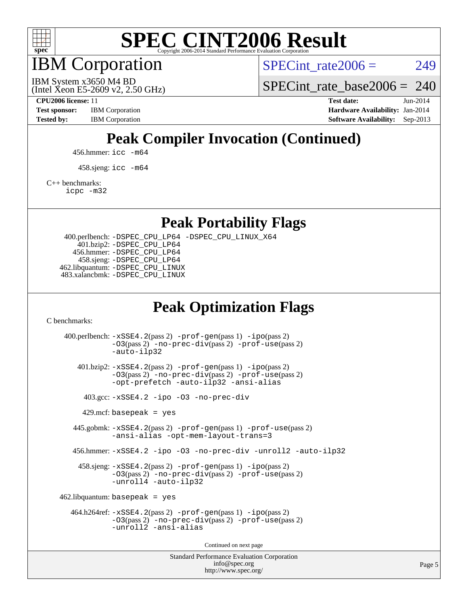

IBM Corporation

SPECint rate $2006 = 249$ 

(Intel Xeon E5-2609 v2, 2.50 GHz) IBM System x3650 M4 BD

SPECint rate base2006 =  $240$ 

**[CPU2006 license:](http://www.spec.org/auto/cpu2006/Docs/result-fields.html#CPU2006license)** 11 **[Test date:](http://www.spec.org/auto/cpu2006/Docs/result-fields.html#Testdate)** Jun-2014 **[Test sponsor:](http://www.spec.org/auto/cpu2006/Docs/result-fields.html#Testsponsor)** IBM Corporation **[Hardware Availability:](http://www.spec.org/auto/cpu2006/Docs/result-fields.html#HardwareAvailability)** Jan-2014 [Tested by:](http://www.spec.org/auto/cpu2006/Docs/result-fields.html#Testedby) IBM Corporation **[Software Availability:](http://www.spec.org/auto/cpu2006/Docs/result-fields.html#SoftwareAvailability)** Sep-2013

## **[Peak Compiler Invocation \(Continued\)](http://www.spec.org/auto/cpu2006/Docs/result-fields.html#PeakCompilerInvocation)**

456.hmmer: [icc -m64](http://www.spec.org/cpu2006/results/res2014q3/cpu2006-20140617-29961.flags.html#user_peakCCLD456_hmmer_intel_icc_64bit_bda6cc9af1fdbb0edc3795bac97ada53)

458.sjeng: [icc -m64](http://www.spec.org/cpu2006/results/res2014q3/cpu2006-20140617-29961.flags.html#user_peakCCLD458_sjeng_intel_icc_64bit_bda6cc9af1fdbb0edc3795bac97ada53)

[C++ benchmarks:](http://www.spec.org/auto/cpu2006/Docs/result-fields.html#CXXbenchmarks)

[icpc -m32](http://www.spec.org/cpu2006/results/res2014q3/cpu2006-20140617-29961.flags.html#user_CXXpeak_intel_icpc_4e5a5ef1a53fd332b3c49e69c3330699)

**[Peak Portability Flags](http://www.spec.org/auto/cpu2006/Docs/result-fields.html#PeakPortabilityFlags)**

 400.perlbench: [-DSPEC\\_CPU\\_LP64](http://www.spec.org/cpu2006/results/res2014q3/cpu2006-20140617-29961.flags.html#b400.perlbench_peakCPORTABILITY_DSPEC_CPU_LP64) [-DSPEC\\_CPU\\_LINUX\\_X64](http://www.spec.org/cpu2006/results/res2014q3/cpu2006-20140617-29961.flags.html#b400.perlbench_peakCPORTABILITY_DSPEC_CPU_LINUX_X64) 401.bzip2: [-DSPEC\\_CPU\\_LP64](http://www.spec.org/cpu2006/results/res2014q3/cpu2006-20140617-29961.flags.html#suite_peakCPORTABILITY401_bzip2_DSPEC_CPU_LP64) 456.hmmer: [-DSPEC\\_CPU\\_LP64](http://www.spec.org/cpu2006/results/res2014q3/cpu2006-20140617-29961.flags.html#suite_peakCPORTABILITY456_hmmer_DSPEC_CPU_LP64) 458.sjeng: [-DSPEC\\_CPU\\_LP64](http://www.spec.org/cpu2006/results/res2014q3/cpu2006-20140617-29961.flags.html#suite_peakCPORTABILITY458_sjeng_DSPEC_CPU_LP64) 462.libquantum: [-DSPEC\\_CPU\\_LINUX](http://www.spec.org/cpu2006/results/res2014q3/cpu2006-20140617-29961.flags.html#b462.libquantum_peakCPORTABILITY_DSPEC_CPU_LINUX) 483.xalancbmk: [-DSPEC\\_CPU\\_LINUX](http://www.spec.org/cpu2006/results/res2014q3/cpu2006-20140617-29961.flags.html#b483.xalancbmk_peakCXXPORTABILITY_DSPEC_CPU_LINUX)

## **[Peak Optimization Flags](http://www.spec.org/auto/cpu2006/Docs/result-fields.html#PeakOptimizationFlags)**

[C benchmarks](http://www.spec.org/auto/cpu2006/Docs/result-fields.html#Cbenchmarks):

Standard Performance Evaluation Corporation 400.perlbench: [-xSSE4.2](http://www.spec.org/cpu2006/results/res2014q3/cpu2006-20140617-29961.flags.html#user_peakPASS2_CFLAGSPASS2_LDCFLAGS400_perlbench_f-xSSE42_f91528193cf0b216347adb8b939d4107)(pass 2) [-prof-gen](http://www.spec.org/cpu2006/results/res2014q3/cpu2006-20140617-29961.flags.html#user_peakPASS1_CFLAGSPASS1_LDCFLAGS400_perlbench_prof_gen_e43856698f6ca7b7e442dfd80e94a8fc)(pass 1) [-ipo](http://www.spec.org/cpu2006/results/res2014q3/cpu2006-20140617-29961.flags.html#user_peakPASS2_CFLAGSPASS2_LDCFLAGS400_perlbench_f-ipo)(pass 2) [-O3](http://www.spec.org/cpu2006/results/res2014q3/cpu2006-20140617-29961.flags.html#user_peakPASS2_CFLAGSPASS2_LDCFLAGS400_perlbench_f-O3)(pass 2) [-no-prec-div](http://www.spec.org/cpu2006/results/res2014q3/cpu2006-20140617-29961.flags.html#user_peakPASS2_CFLAGSPASS2_LDCFLAGS400_perlbench_f-no-prec-div)(pass 2) [-prof-use](http://www.spec.org/cpu2006/results/res2014q3/cpu2006-20140617-29961.flags.html#user_peakPASS2_CFLAGSPASS2_LDCFLAGS400_perlbench_prof_use_bccf7792157ff70d64e32fe3e1250b55)(pass 2) [-auto-ilp32](http://www.spec.org/cpu2006/results/res2014q3/cpu2006-20140617-29961.flags.html#user_peakCOPTIMIZE400_perlbench_f-auto-ilp32) 401.bzip2: [-xSSE4.2](http://www.spec.org/cpu2006/results/res2014q3/cpu2006-20140617-29961.flags.html#user_peakPASS2_CFLAGSPASS2_LDCFLAGS401_bzip2_f-xSSE42_f91528193cf0b216347adb8b939d4107)(pass 2) [-prof-gen](http://www.spec.org/cpu2006/results/res2014q3/cpu2006-20140617-29961.flags.html#user_peakPASS1_CFLAGSPASS1_LDCFLAGS401_bzip2_prof_gen_e43856698f6ca7b7e442dfd80e94a8fc)(pass 1) [-ipo](http://www.spec.org/cpu2006/results/res2014q3/cpu2006-20140617-29961.flags.html#user_peakPASS2_CFLAGSPASS2_LDCFLAGS401_bzip2_f-ipo)(pass 2) [-O3](http://www.spec.org/cpu2006/results/res2014q3/cpu2006-20140617-29961.flags.html#user_peakPASS2_CFLAGSPASS2_LDCFLAGS401_bzip2_f-O3)(pass 2) [-no-prec-div](http://www.spec.org/cpu2006/results/res2014q3/cpu2006-20140617-29961.flags.html#user_peakPASS2_CFLAGSPASS2_LDCFLAGS401_bzip2_f-no-prec-div)(pass 2) [-prof-use](http://www.spec.org/cpu2006/results/res2014q3/cpu2006-20140617-29961.flags.html#user_peakPASS2_CFLAGSPASS2_LDCFLAGS401_bzip2_prof_use_bccf7792157ff70d64e32fe3e1250b55)(pass 2) [-opt-prefetch](http://www.spec.org/cpu2006/results/res2014q3/cpu2006-20140617-29961.flags.html#user_peakCOPTIMIZE401_bzip2_f-opt-prefetch) [-auto-ilp32](http://www.spec.org/cpu2006/results/res2014q3/cpu2006-20140617-29961.flags.html#user_peakCOPTIMIZE401_bzip2_f-auto-ilp32) [-ansi-alias](http://www.spec.org/cpu2006/results/res2014q3/cpu2006-20140617-29961.flags.html#user_peakCOPTIMIZE401_bzip2_f-ansi-alias) 403.gcc: [-xSSE4.2](http://www.spec.org/cpu2006/results/res2014q3/cpu2006-20140617-29961.flags.html#user_peakCOPTIMIZE403_gcc_f-xSSE42_f91528193cf0b216347adb8b939d4107) [-ipo](http://www.spec.org/cpu2006/results/res2014q3/cpu2006-20140617-29961.flags.html#user_peakCOPTIMIZE403_gcc_f-ipo) [-O3](http://www.spec.org/cpu2006/results/res2014q3/cpu2006-20140617-29961.flags.html#user_peakCOPTIMIZE403_gcc_f-O3) [-no-prec-div](http://www.spec.org/cpu2006/results/res2014q3/cpu2006-20140617-29961.flags.html#user_peakCOPTIMIZE403_gcc_f-no-prec-div)  $429$ .mcf: basepeak = yes 445.gobmk: [-xSSE4.2](http://www.spec.org/cpu2006/results/res2014q3/cpu2006-20140617-29961.flags.html#user_peakPASS2_CFLAGSPASS2_LDCFLAGS445_gobmk_f-xSSE42_f91528193cf0b216347adb8b939d4107)(pass 2) [-prof-gen](http://www.spec.org/cpu2006/results/res2014q3/cpu2006-20140617-29961.flags.html#user_peakPASS1_CFLAGSPASS1_LDCFLAGS445_gobmk_prof_gen_e43856698f6ca7b7e442dfd80e94a8fc)(pass 1) [-prof-use](http://www.spec.org/cpu2006/results/res2014q3/cpu2006-20140617-29961.flags.html#user_peakPASS2_CFLAGSPASS2_LDCFLAGS445_gobmk_prof_use_bccf7792157ff70d64e32fe3e1250b55)(pass 2) [-ansi-alias](http://www.spec.org/cpu2006/results/res2014q3/cpu2006-20140617-29961.flags.html#user_peakCOPTIMIZE445_gobmk_f-ansi-alias) [-opt-mem-layout-trans=3](http://www.spec.org/cpu2006/results/res2014q3/cpu2006-20140617-29961.flags.html#user_peakCOPTIMIZE445_gobmk_f-opt-mem-layout-trans_a7b82ad4bd7abf52556d4961a2ae94d5) 456.hmmer: [-xSSE4.2](http://www.spec.org/cpu2006/results/res2014q3/cpu2006-20140617-29961.flags.html#user_peakCOPTIMIZE456_hmmer_f-xSSE42_f91528193cf0b216347adb8b939d4107) [-ipo](http://www.spec.org/cpu2006/results/res2014q3/cpu2006-20140617-29961.flags.html#user_peakCOPTIMIZE456_hmmer_f-ipo) [-O3](http://www.spec.org/cpu2006/results/res2014q3/cpu2006-20140617-29961.flags.html#user_peakCOPTIMIZE456_hmmer_f-O3) [-no-prec-div](http://www.spec.org/cpu2006/results/res2014q3/cpu2006-20140617-29961.flags.html#user_peakCOPTIMIZE456_hmmer_f-no-prec-div) [-unroll2](http://www.spec.org/cpu2006/results/res2014q3/cpu2006-20140617-29961.flags.html#user_peakCOPTIMIZE456_hmmer_f-unroll_784dae83bebfb236979b41d2422d7ec2) [-auto-ilp32](http://www.spec.org/cpu2006/results/res2014q3/cpu2006-20140617-29961.flags.html#user_peakCOPTIMIZE456_hmmer_f-auto-ilp32) 458.sjeng: [-xSSE4.2](http://www.spec.org/cpu2006/results/res2014q3/cpu2006-20140617-29961.flags.html#user_peakPASS2_CFLAGSPASS2_LDCFLAGS458_sjeng_f-xSSE42_f91528193cf0b216347adb8b939d4107)(pass 2) [-prof-gen](http://www.spec.org/cpu2006/results/res2014q3/cpu2006-20140617-29961.flags.html#user_peakPASS1_CFLAGSPASS1_LDCFLAGS458_sjeng_prof_gen_e43856698f6ca7b7e442dfd80e94a8fc)(pass 1) [-ipo](http://www.spec.org/cpu2006/results/res2014q3/cpu2006-20140617-29961.flags.html#user_peakPASS2_CFLAGSPASS2_LDCFLAGS458_sjeng_f-ipo)(pass 2) [-O3](http://www.spec.org/cpu2006/results/res2014q3/cpu2006-20140617-29961.flags.html#user_peakPASS2_CFLAGSPASS2_LDCFLAGS458_sjeng_f-O3)(pass 2) [-no-prec-div](http://www.spec.org/cpu2006/results/res2014q3/cpu2006-20140617-29961.flags.html#user_peakPASS2_CFLAGSPASS2_LDCFLAGS458_sjeng_f-no-prec-div)(pass 2) [-prof-use](http://www.spec.org/cpu2006/results/res2014q3/cpu2006-20140617-29961.flags.html#user_peakPASS2_CFLAGSPASS2_LDCFLAGS458_sjeng_prof_use_bccf7792157ff70d64e32fe3e1250b55)(pass 2) [-unroll4](http://www.spec.org/cpu2006/results/res2014q3/cpu2006-20140617-29961.flags.html#user_peakCOPTIMIZE458_sjeng_f-unroll_4e5e4ed65b7fd20bdcd365bec371b81f) [-auto-ilp32](http://www.spec.org/cpu2006/results/res2014q3/cpu2006-20140617-29961.flags.html#user_peakCOPTIMIZE458_sjeng_f-auto-ilp32)  $462$ .libquantum: basepeak = yes 464.h264ref: [-xSSE4.2](http://www.spec.org/cpu2006/results/res2014q3/cpu2006-20140617-29961.flags.html#user_peakPASS2_CFLAGSPASS2_LDCFLAGS464_h264ref_f-xSSE42_f91528193cf0b216347adb8b939d4107)(pass 2) [-prof-gen](http://www.spec.org/cpu2006/results/res2014q3/cpu2006-20140617-29961.flags.html#user_peakPASS1_CFLAGSPASS1_LDCFLAGS464_h264ref_prof_gen_e43856698f6ca7b7e442dfd80e94a8fc)(pass 1) [-ipo](http://www.spec.org/cpu2006/results/res2014q3/cpu2006-20140617-29961.flags.html#user_peakPASS2_CFLAGSPASS2_LDCFLAGS464_h264ref_f-ipo)(pass 2) [-O3](http://www.spec.org/cpu2006/results/res2014q3/cpu2006-20140617-29961.flags.html#user_peakPASS2_CFLAGSPASS2_LDCFLAGS464_h264ref_f-O3)(pass 2) [-no-prec-div](http://www.spec.org/cpu2006/results/res2014q3/cpu2006-20140617-29961.flags.html#user_peakPASS2_CFLAGSPASS2_LDCFLAGS464_h264ref_f-no-prec-div)(pass 2) [-prof-use](http://www.spec.org/cpu2006/results/res2014q3/cpu2006-20140617-29961.flags.html#user_peakPASS2_CFLAGSPASS2_LDCFLAGS464_h264ref_prof_use_bccf7792157ff70d64e32fe3e1250b55)(pass 2) [-unroll2](http://www.spec.org/cpu2006/results/res2014q3/cpu2006-20140617-29961.flags.html#user_peakCOPTIMIZE464_h264ref_f-unroll_784dae83bebfb236979b41d2422d7ec2) [-ansi-alias](http://www.spec.org/cpu2006/results/res2014q3/cpu2006-20140617-29961.flags.html#user_peakCOPTIMIZE464_h264ref_f-ansi-alias) Continued on next page

[info@spec.org](mailto:info@spec.org) <http://www.spec.org/>